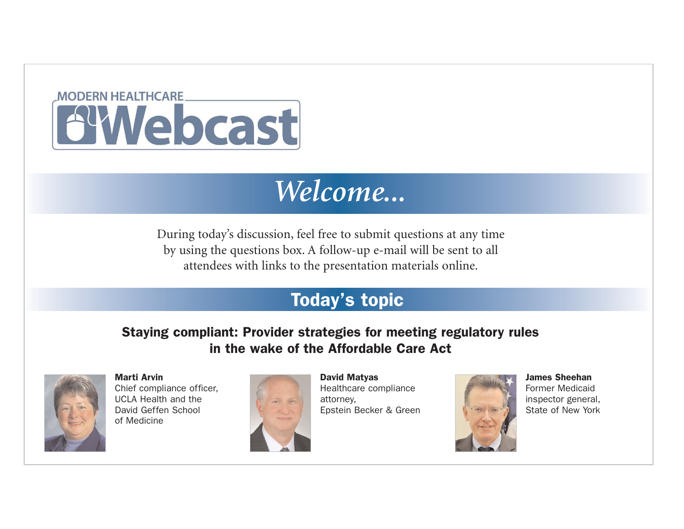

#### *Welcome...*

During today's discussion, feel free to submit questions at any time by using the questions box. A follow-up e-mail will be sent to all attendees with links to the presentation materials online.

#### Today's topic

#### Staying compliant: Provider strategies for meeting regulatory rules in the wake of the Affordable Care Act



Marti Arvin Chief compliance officer, UCLA Health and the David Geffen School of Medicine



David Matyas Healthcare compliance attorney, Epstein Becker & Green



James Sheehan Former Medicaid inspector general, State of New York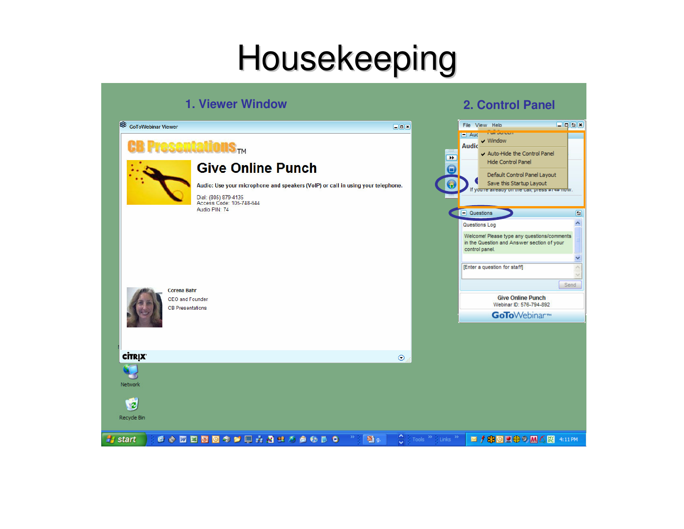#### Housekeeping

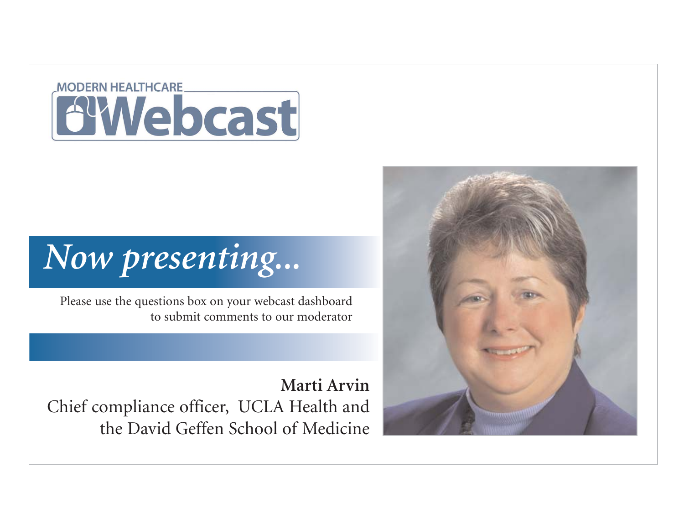#### **MODERN HEALTHCARE BYWebcast**

#### *Now presenting...*

Please use the questions box on your webcast dashboard to submit comments to our moderator

**Marti Arvin** Chief compliance officer, UCLA Health and the David Geffen School of Medicine

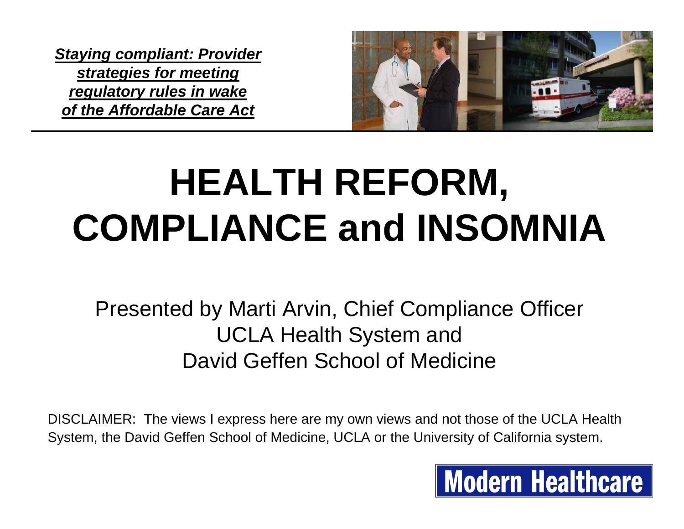

### **HEALTH REFORM, COMPLIANCE and INSOMNIA**

Presented by Marti Arvin, Chief Compliance Officer UCLA Health System and David Geffen School of Medicine

DISCLAIMER: The views I express here are my own views and not those of the UCLA Health System, the David Geffen School of Medicine, UCLA or the University of California system.

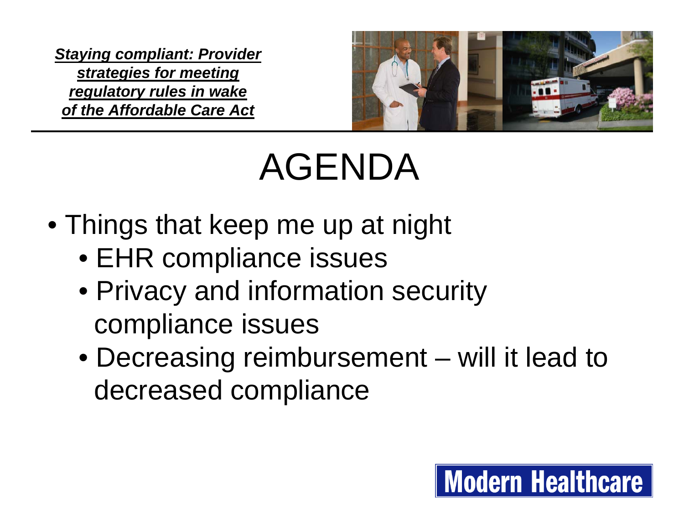

### AGENDA

- Things that keep me up at night
	- EHR compliance issues
	- Privacy and information security compliance issues
	- Decreasing reimbursement will it lead to decreased compliance

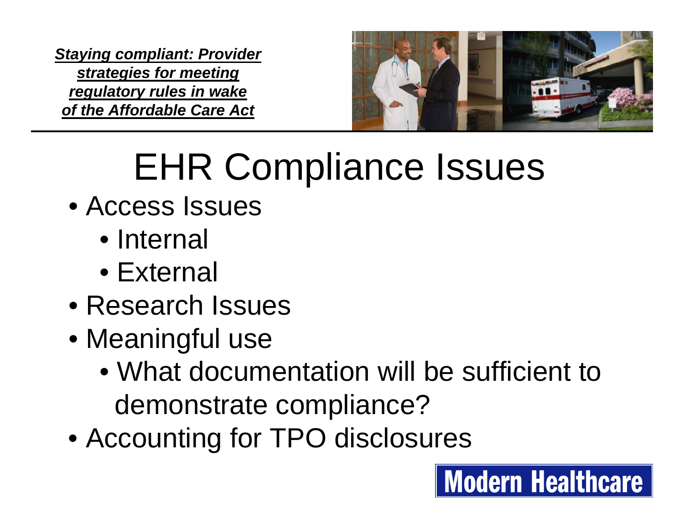

**Modern Healthcare** 

### EHR Compliance Issues

- Access Issues
	- Internal
	- External
- Research Issues
- Meaningful use
	- What documentation will be sufficient to demonstrate compliance?
- Accounting for TPO disclosures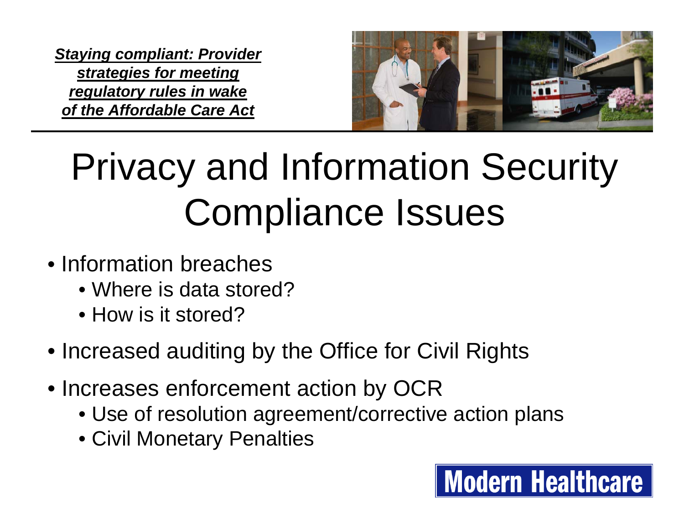

**Modern Healthcare** 

### Privacy and Information Security Compliance Issues

- Information breaches
	- Where is data stored?
	- How is it stored?
- Increased auditing by the Office for Civil Rights
- Increases enforcement action by OCR
	- Use of resolution agreement/corrective action plans
	- Civil Monetary Penalties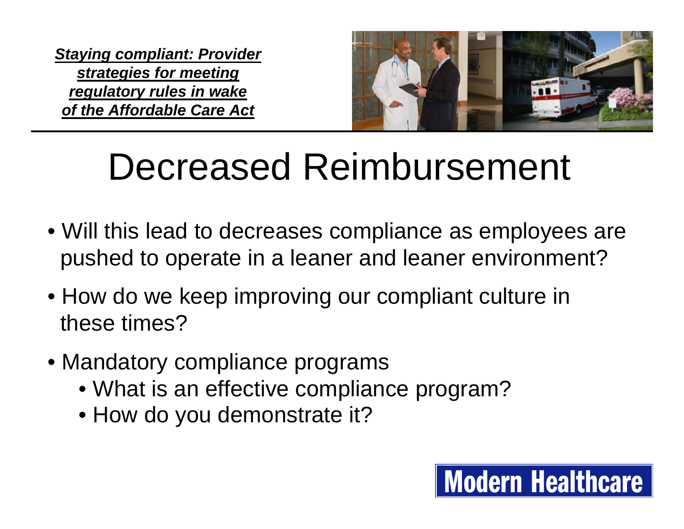

### Decreased Reimbursement

- Will this lead to decreases compliance as employees are pushed to operate in a leaner and leaner environment?
- How do we keep improving our compliant culture in these times?
- Mandatory compliance programs
	- What is an effective compliance program?
	- How do you demonstrate it?

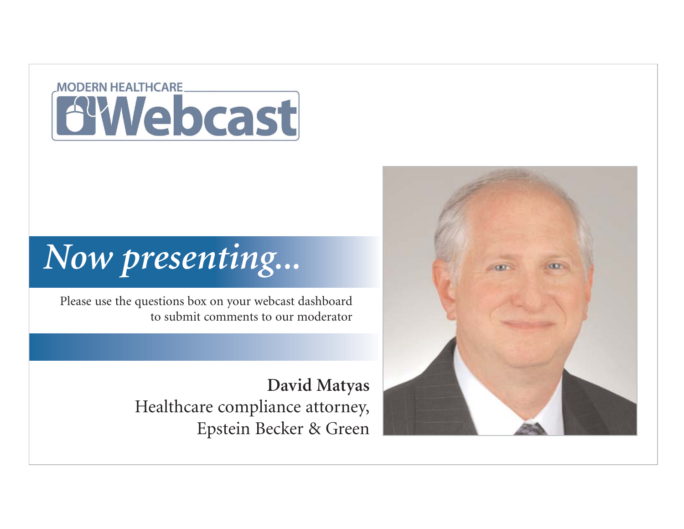#### **MODERN HEALTHCARE AWebcast**

### *Now presenting...*

Please use the questions box on your webcast dashboard to submit comments to our moderator

> **David Matyas** Healthcare compliance attorney, Epstein Becker & Green

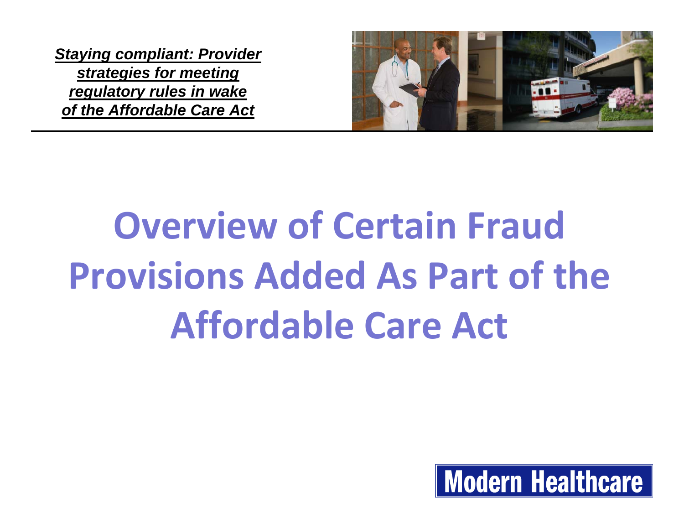

# **Overview of Certain Fraud Provisions Added As Part of the Affordable Care Act**

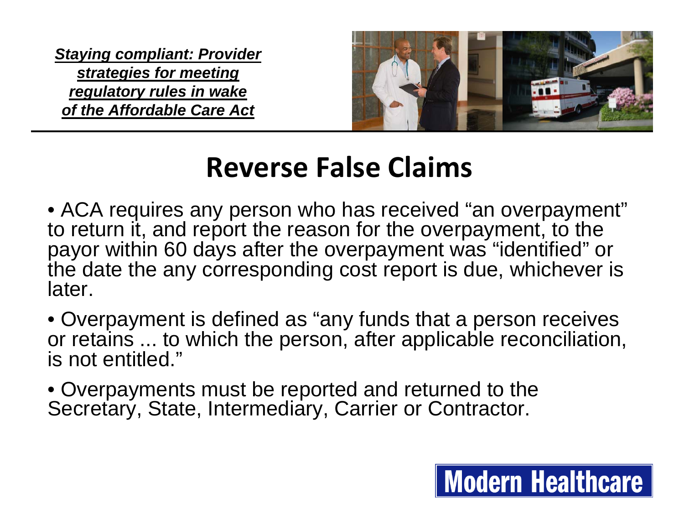

#### **Reverse False Claims**

- ACA requires any person who has received "an overpayment" to return it, and report the reason for the overpayment, to the payor within 60 days after the overpayment was "identified" or the date the any corresponding cost report is due, whichever is later.
- Overpayment is defined as "any funds that a person receives or retains ... to which the person, after applicable reconciliation, is not entitled."
- Overpayments must be reported and returned to the Secretary, State, Intermediary, Carrier or Contractor.

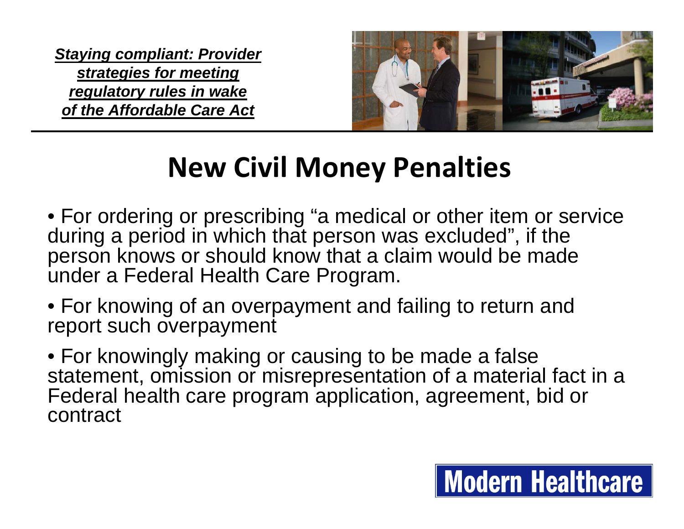

#### **New Civil Money Penalties**

- For ordering or prescribing "a medical or other item or service during a period in which that person was excluded", if the person knows or should know that a claim would be made under a Federal Health Care Program.
- For knowing of an overpayment and failing to return and report such overpayment
- For knowingly making or causing to be made a false statement, omission or misrepresentation of a material fact in a Federal health care program application, agreement, bid or contract

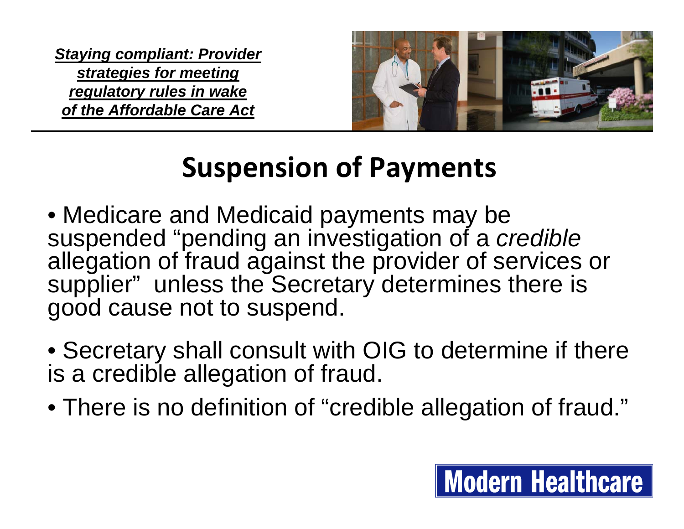

**Modern Healthcare** 

#### **Suspension of Payments**

- Medicare and Medicaid payments may be suspended "pending an investigation of a *credible*  allegation of fraud against the provider of services or supplier" unless the Secretary determines there is good cause not to suspend.
- Secretary shall consult with OIG to determine if there is a credible allegation of fraud.
- There is no definition of "credible allegation of fraud."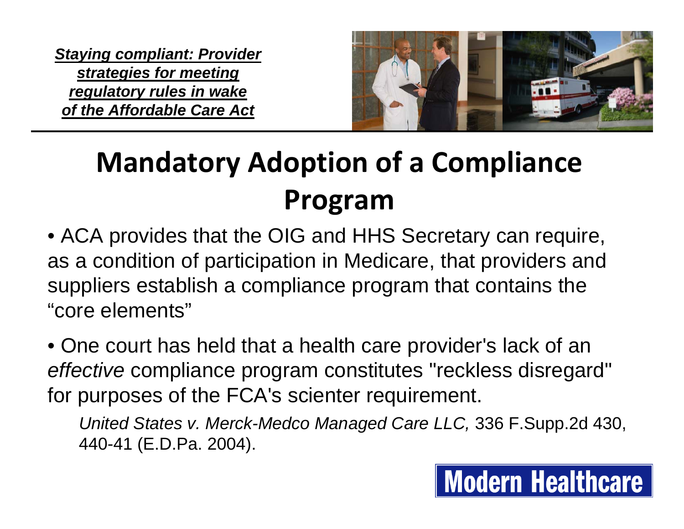

**Modern Healthcare** 

#### **Mandatory Adoption of <sup>a</sup> Compliance Program**

• ACA provides that the OIG and HHS Secretary can require, as a condition of participation in Medicare, that providers and suppliers establish a compliance program that contains the "core elements"

• One court has held that a health care provider's lack of an *effective* compliance program constitutes "reckless disregard" for purposes of the FCA's scienter requirement.

*United States v. Merck-Medco Managed Care LLC,* 336 F.Supp.2d 430, 440-41 (E.D.Pa. 2004).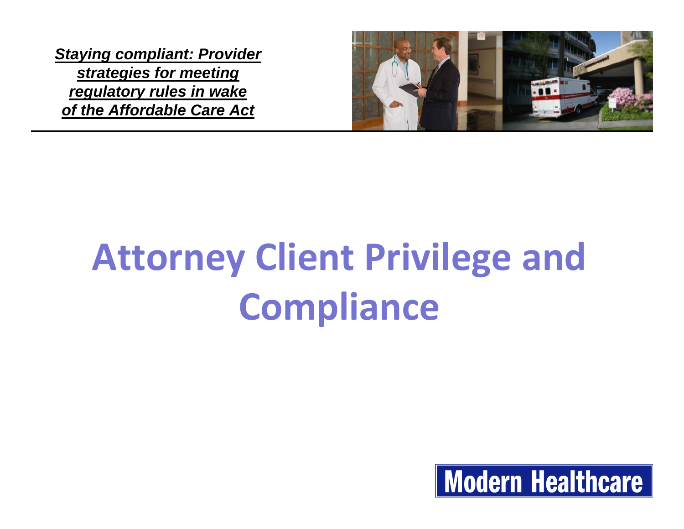

# **Attorney Client Privilege and Compliance**

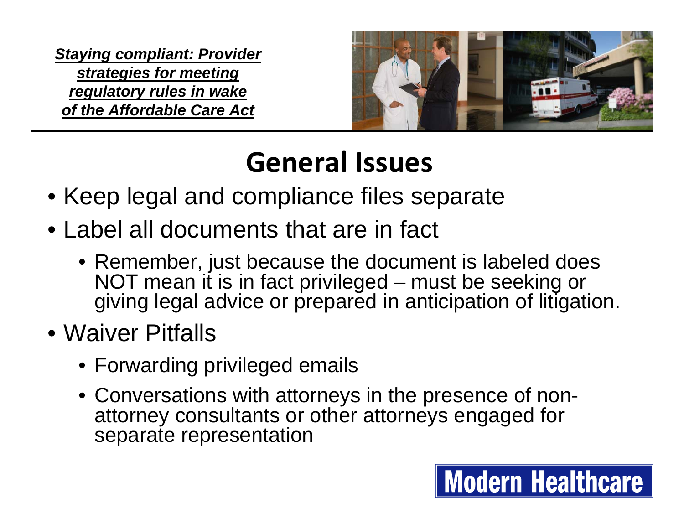

#### **General Issues**

- Keep legal and compliance files separate
- Label all documents that are in fact
	- Remember, just because the document is labeled does NOT mean it is in fact privileged – must be seeking or giving legal advice or prepared in anticipation of litigation.
- Waiver Pitfalls
	- Forwarding privileged emails
	- Conversations with attorneys in the presence of nonattorney consultants or other attorneys engaged for separate representation

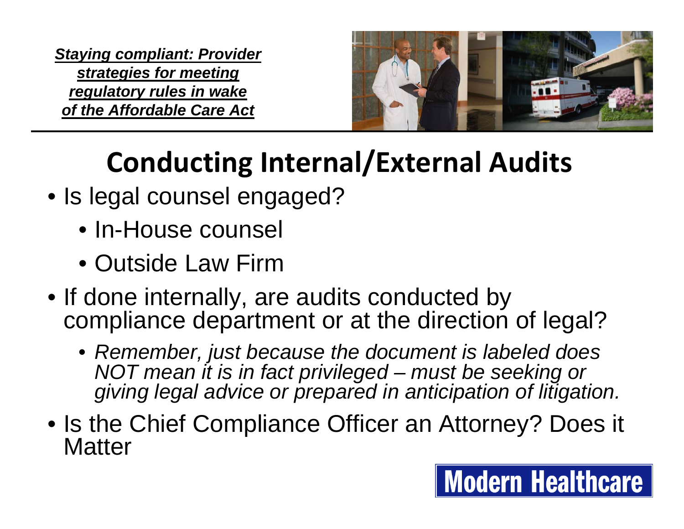

**Modern Healthcare** 

#### **Conducting Internal/External Audits**

- Is legal counsel engaged?
	- In-House counsel
	- Outside Law Firm
- If done internally, are audits conducted by compliance department or at the direction of legal?
	- *Remember, just because the document is labeled does NOT mean it is in fact privileged – must be seeking or giving legal advice or prepared in anticipation of litigation.*
- Is the Chief Compliance Officer an Attorney? Does it **Matter**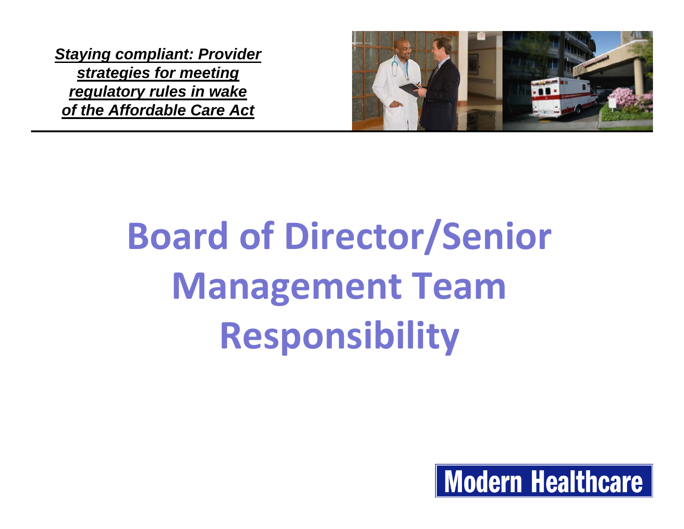

# **Board of Director/Senior Management Team Responsibility**

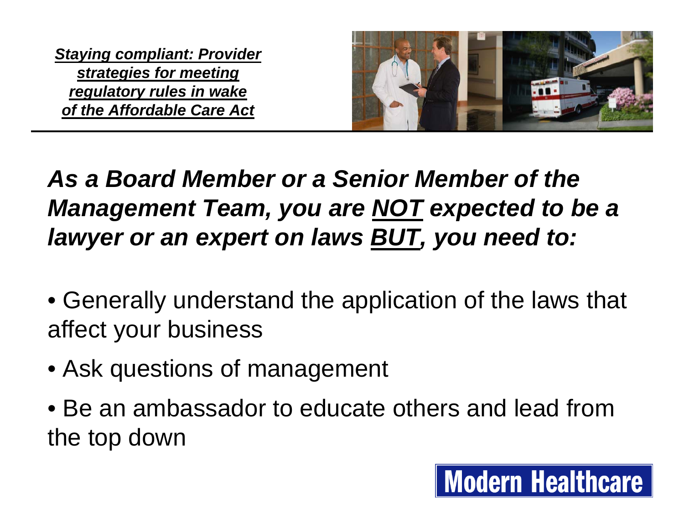

#### *As a Board Member or a Senior Member of the Management Team, you are NOT expected to be a lawyer or an expert on laws BUT, you need to:*

- Generally understand the application of the laws that affect your business
- Ask questions of management
- Be an ambassador to educate others and lead from the top down

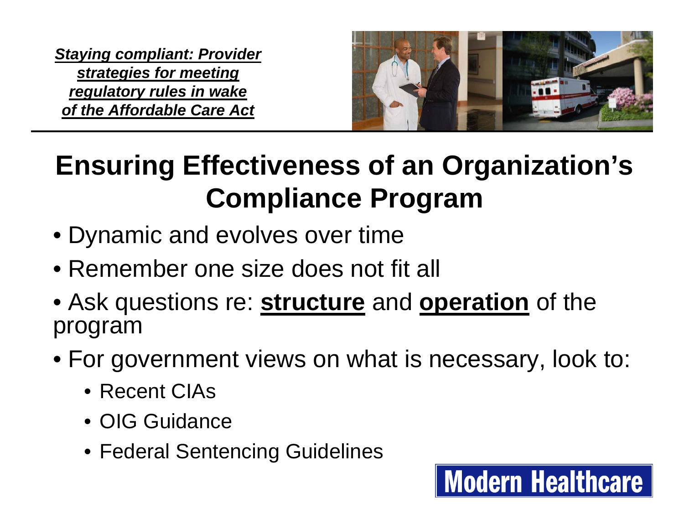

**Modern Healthcare** 

#### **Ensuring Effectiveness of an Organization's Compliance Program**

- Dynamic and evolves over time
- Remember one size does not fit all
- Ask questions re: **structure** and **operation** of the program
- For government views on what is necessary, look to:
	- Recent CIAs
	- OIG Guidance
	- Federal Sentencing Guidelines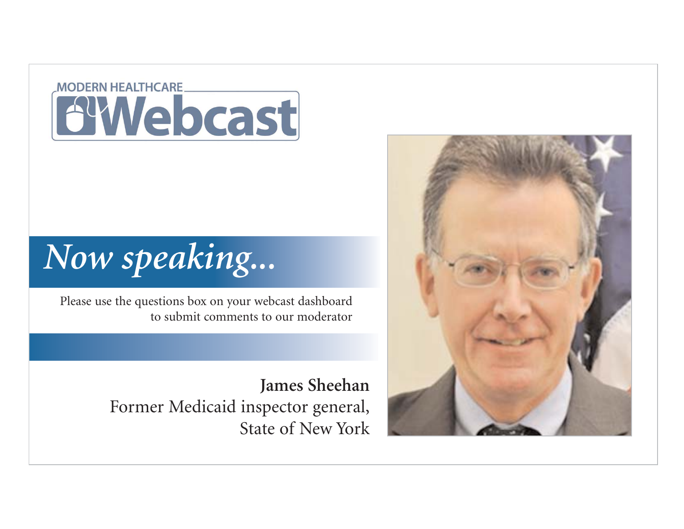#### **MODERN HEALTHCARE BYWebcast**

#### *Now speaking...*

Please use the questions box on your webcast dashboard to submit comments to our moderator

> **James Sheehan** Former Medicaid inspector general, State of New York

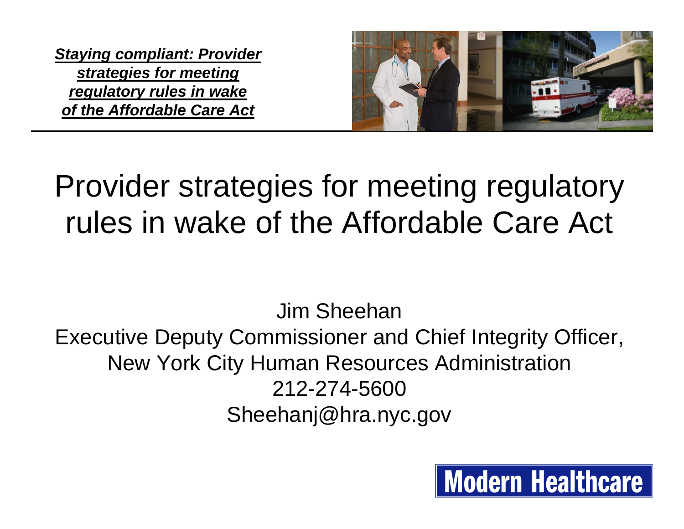

#### Provider strategies for meeting regulatory rules in wake of the Affordable Care Act

Jim SheehanExecutive Deputy Commissioner and Chief Integrity Officer, New York City Human Resources Administration 212-274-5600Sheehanj@hra.nyc.gov

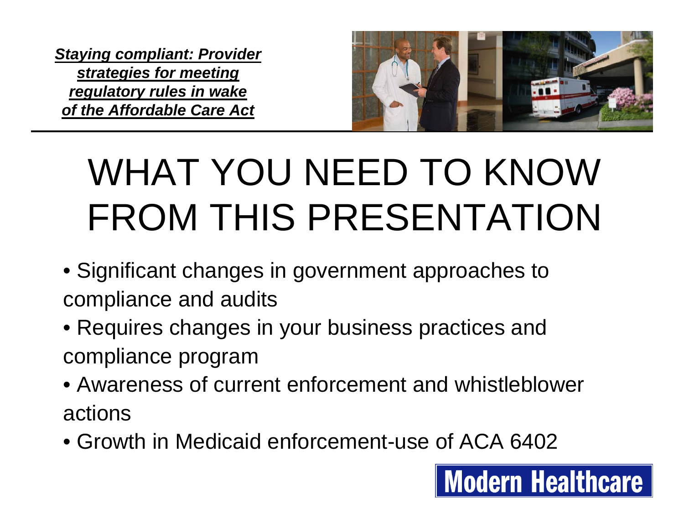

# WHAT YOU NEED TO KNOW FROM THIS PRESENTATION

- Significant changes in government approaches to compliance and audits
- Requires changes in your business practices and compliance program
- Awareness of current enforcement and whistleblower actions
- Growth in Medicaid enforcement-use of ACA 6402

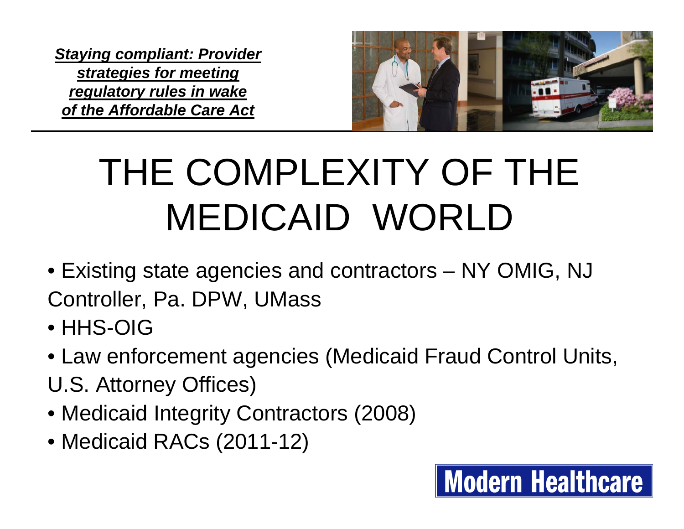

**Modern Healthcare** 

# THE COMPLEXITY OF THE MEDICAID WORLD

- Existing state agencies and contractors NY OMIG, NJ Controller, Pa. DPW, UMass
- HHS-OIG
- Law enforcement agencies (Medicaid Fraud Control Units, U.S. Attorney Offices)
- Medicaid Integrity Contractors (2008)
- Medicaid RACs (2011-12)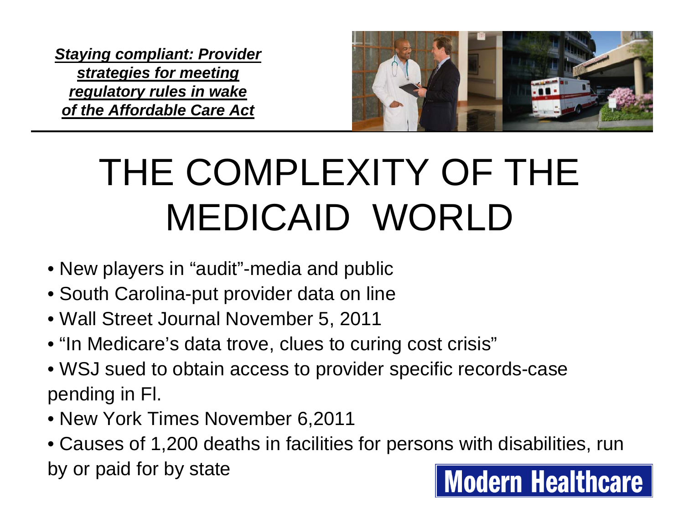

# THE COMPLEXITY OF THE MEDICAID WORLD

- New players in "audit"-media and public
- South Carolina-put provider data on line
- Wall Street Journal November 5, 2011
- "In Medicare's data trove, clues to curing cost crisis"
- WSJ sued to obtain access to provider specific records-case pending in Fl.
- New York Times November 6,2011
- Causes of 1,200 deaths in facilities for persons with disabilities, run by or paid for by state**Modern Healthcare**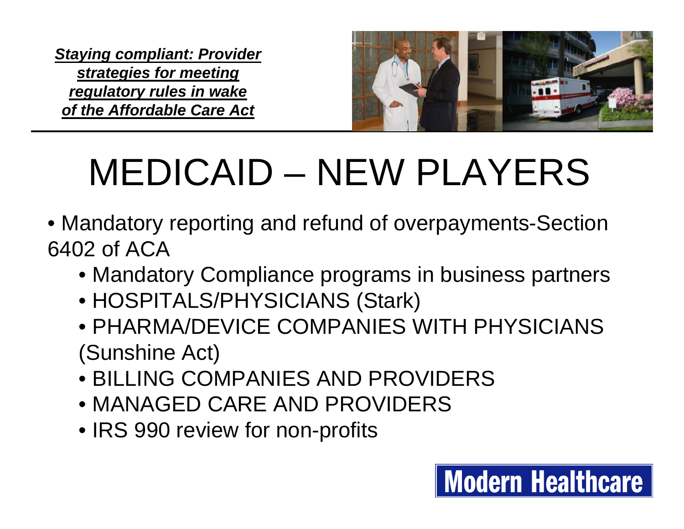

### MEDICAID – NEW PLAYERS

- Mandatory reporting and refund of overpayments-Section 6402 of ACA
	- Mandatory Compliance programs in business partners
	- HOSPITALS/PHYSICIANS (Stark)
	- PHARMA/DEVICE COMPANIES WITH PHYSICIANS (Sunshine Act)
	- BILLING COMPANIES AND PROVIDERS
	- MANAGED CARE AND PROVIDERS
	- IRS 990 review for non-profits

#### **Modern Healthcare**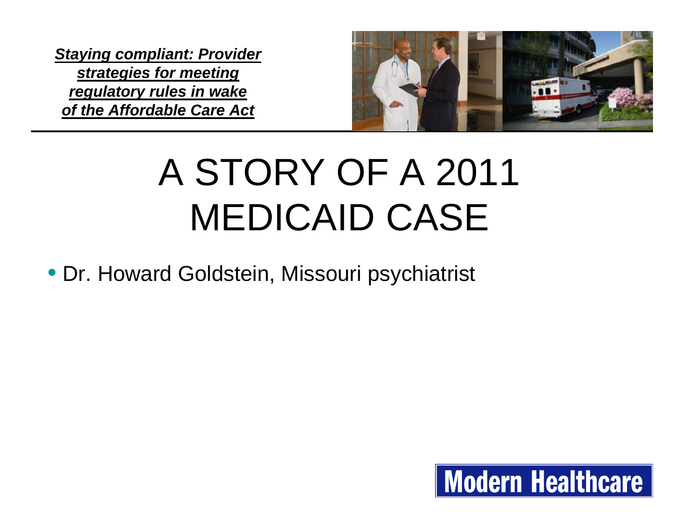

### A STORY OF A 2011 MEDICAID CASE

• Dr. Howard Goldstein, Missouri psychiatrist

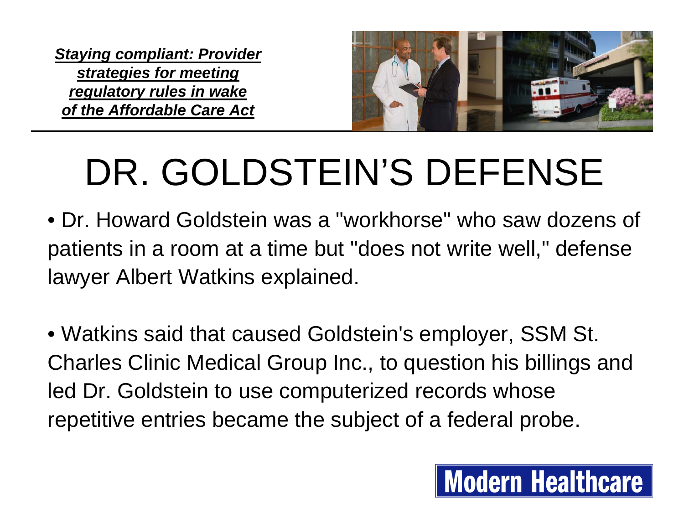

### DR. GOLDSTEIN'S DEFENSE

- Dr. Howard Goldstein was a "workhorse" who saw dozens of patients in a room at a time but "does not write well," defense lawyer Albert Watkins explained.
- Watkins said that caused Goldstein's employer, SSM St. Charles Clinic Medical Group Inc., to question his billings and led Dr. Goldstein to use computerized records whose repetitive entries became the subject of a federal probe.

#### **Modern Healthcare**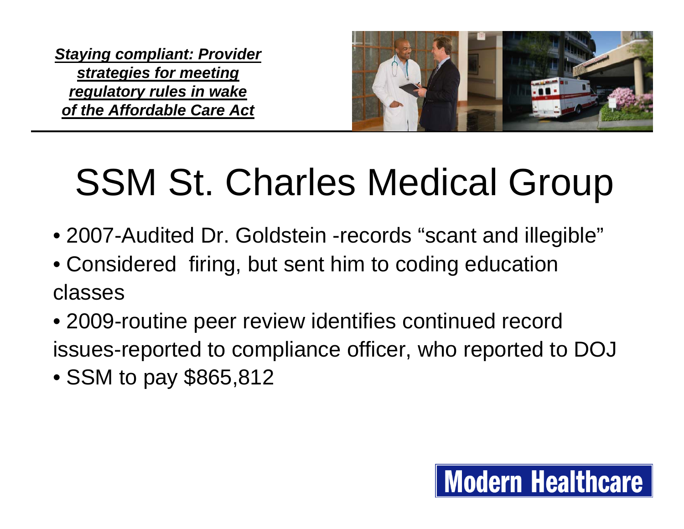

### SSM St. Charles Medical Group

- 2007-Audited Dr. Goldstein -records "scant and illegible"
- Considered firing, but sent him to coding education classes
- 2009-routine peer review identifies continued record issues-reported to compliance officer, who reported to DOJ
- SSM to pay \$865,812

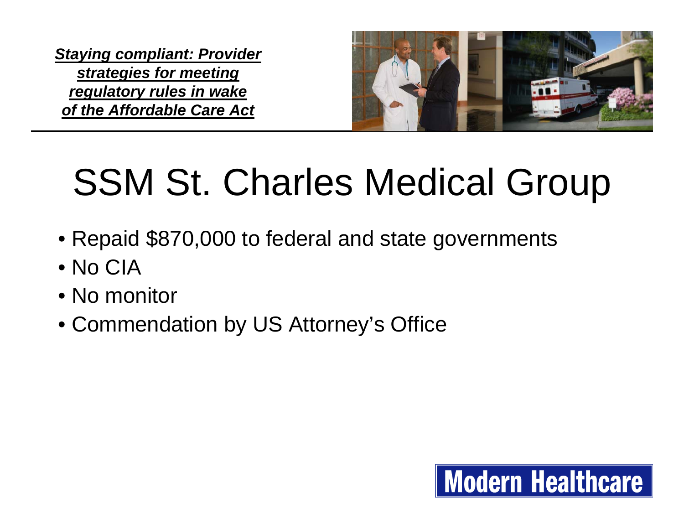

### SSM St. Charles Medical Group

- Repaid \$870,000 to federal and state governments
- No CIA
- No monitor
- Commendation by US Attorney's Office

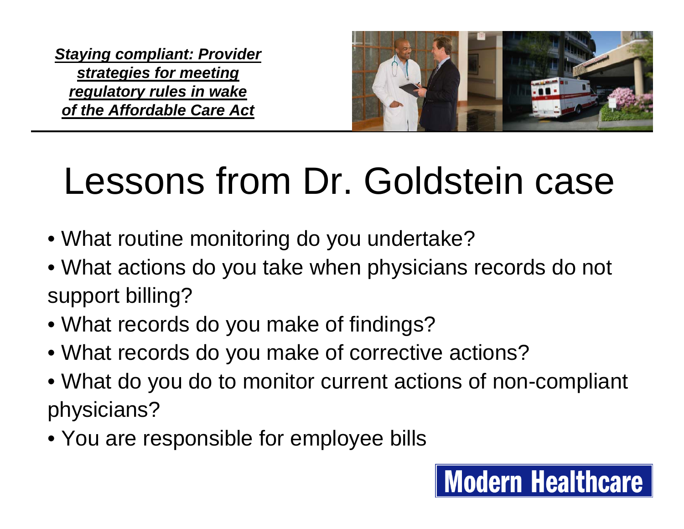

**Modern Healthcare** 

### Lessons from Dr. Goldstein case

- What routine monitoring do you undertake?
- What actions do you take when physicians records do not support billing?
- What records do you make of findings?
- What records do you make of corrective actions?
- What do you do to monitor current actions of non-compliant physicians?
- You are responsible for employee bills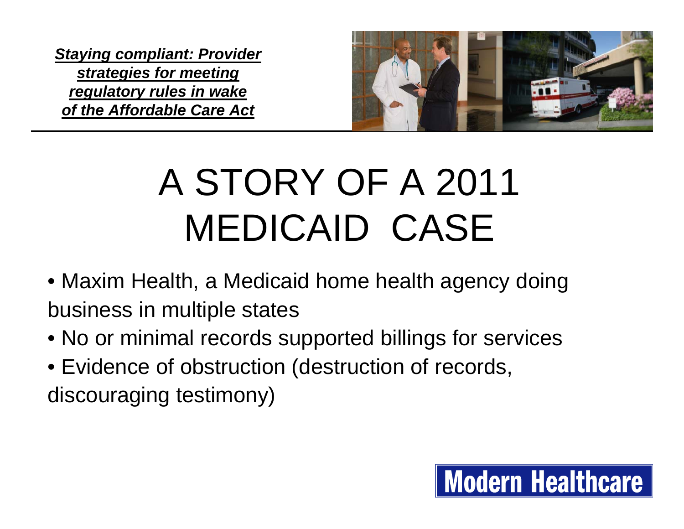

## A STORY OF A 2011 MEDICAID CASE

- Maxim Health, a Medicaid home health agency doing business in multiple states
- No or minimal records supported billings for services
- Evidence of obstruction (destruction of records, discouraging testimony)

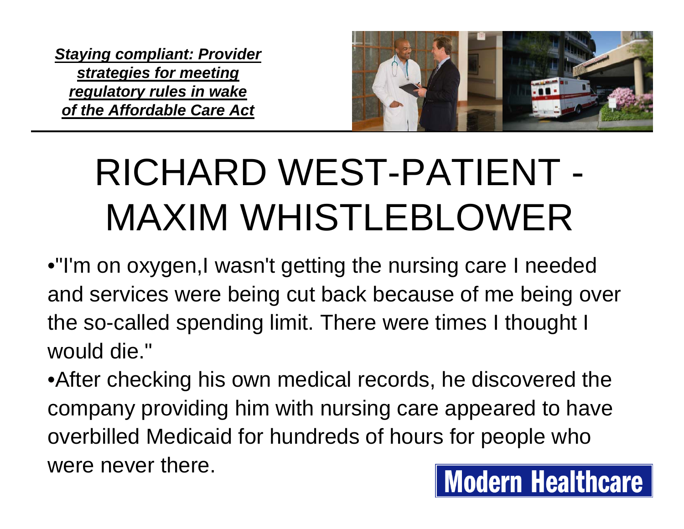

### RICHARD WEST-PATIENT - MAXIM WHISTLEBLOWER

•"I'm on oxygen,I wasn't getting the nursing care I needed and services were being cut back because of me being over the so-called spending limit. There were times I thought I would die."

•After checking his own medical records, he discovered the company providing him with nursing care appeared to have overbilled Medicaid for hundreds of hours for people who were never there.**Modern Healthcare**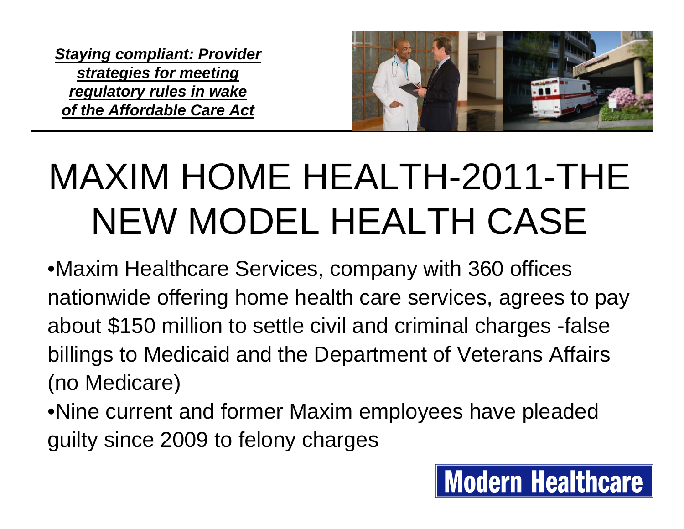

**Modern Healthcare** 

### MAXIM HOME HEALTH-2011-THE NEW MODEL HEALTH CASE

•Maxim Healthcare Services, company with 360 offices nationwide offering home health care services, agrees to pay about \$150 million to settle civil and criminal charges -false billings to Medicaid and the Department of Veterans Affairs (no Medicare)

•Nine current and former Maxim employees have pleaded guilty since 2009 to felony charges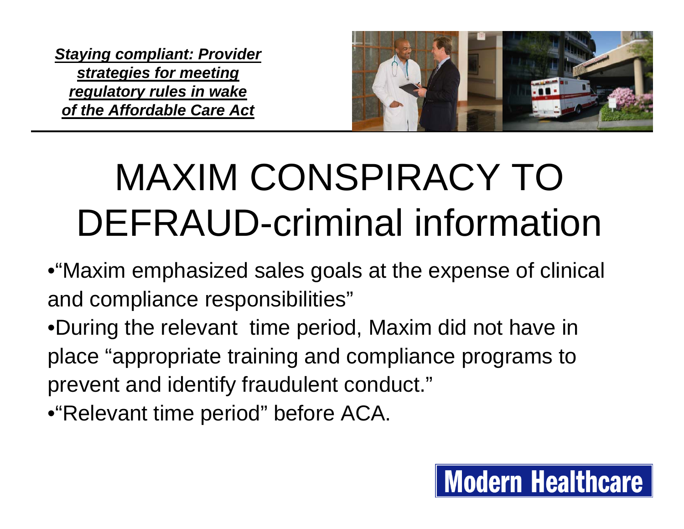

### MAXIM CONSPIRACY TO DEFRAUD-criminal information

- •"Maxim emphasized sales goals at the expense of clinical and compliance responsibilities"
- •During the relevant time period, Maxim did not have in place "appropriate training and compliance programs to prevent and identify fraudulent conduct."
- •"Relevant time period" before ACA.

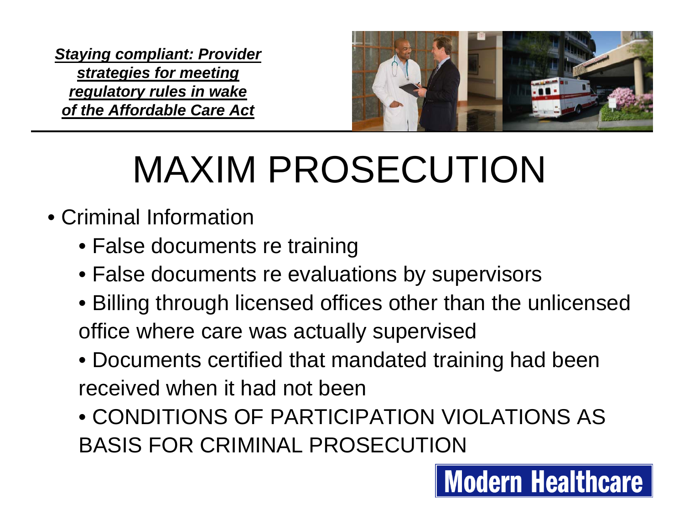

### MAXIM PROSECUTION

- Criminal Information
	- False documents re training
	- False documents re evaluations by supervisors
	- Billing through licensed offices other than the unlicensed office where care was actually supervised
	- Documents certified that mandated training had been received when it had not been
	- CONDITIONS OF PARTICIPATION VIOLATIONS AS BASIS FOR CRIMINAL PROSECUTION

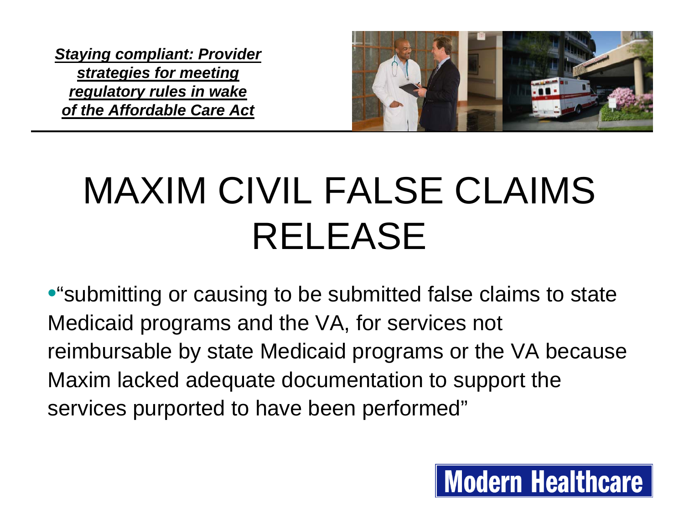

**Modern Healthcare** 

# MAXIM CIVIL FALSE CLAIMS RELEASE

•"submitting or causing to be submitted false claims to state Medicaid programs and the VA, for services not reimbursable by state Medicaid programs or the VA because Maxim lacked adequate documentation to support the services purported to have been performed"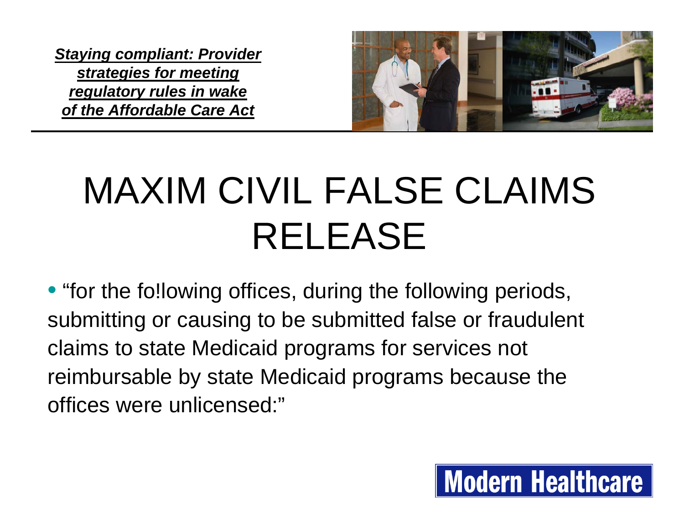

# MAXIM CIVIL FALSE CLAIMS RELEASE

• "for the fo!lowing offices, during the following periods, submitting or causing to be submitted false or fraudulent claims to state Medicaid programs for services not reimbursable by state Medicaid programs because the offices were unlicensed:"

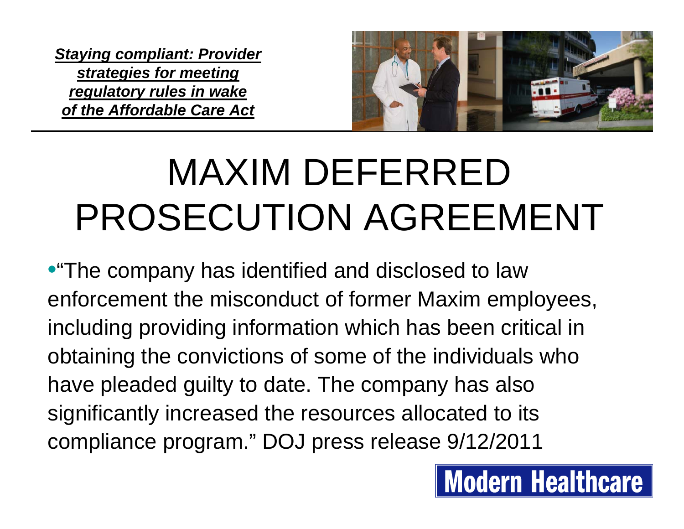

### MAXIM DEFERRED PROSECUTION AGREEMENT

•"The company has identified and disclosed to law enforcement the misconduct of former Maxim employees, including providing information which has been critical in obtaining the convictions of some of the individuals who have pleaded guilty to date. The company has also significantly increased the resources allocated to its compliance program." DOJ press release 9/12/2011

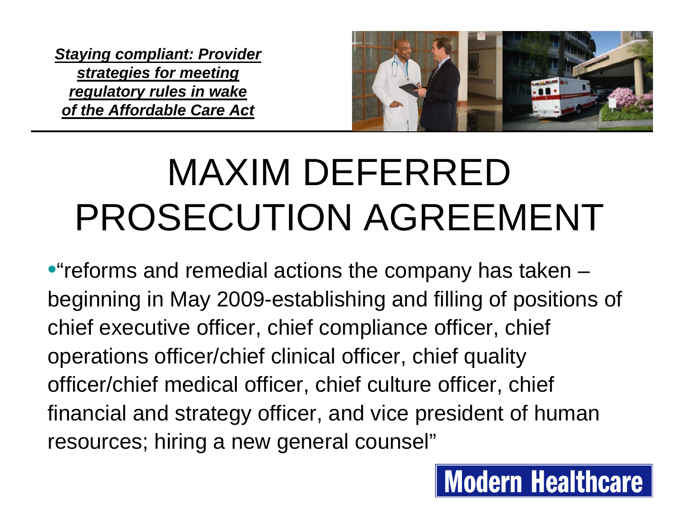

**Modern Healthcare** 

### MAXIM DEFERRED PROSECUTION AGREEMENT

•"reforms and remedial actions the company has taken – beginning in May 2009-establishing and filling of positions of chief executive officer, chief compliance officer, chief operations officer/chief clinical officer, chief quality officer/chief medical officer, chief culture officer, chief financial and strategy officer, and vice president of human resources; hiring a new general counsel"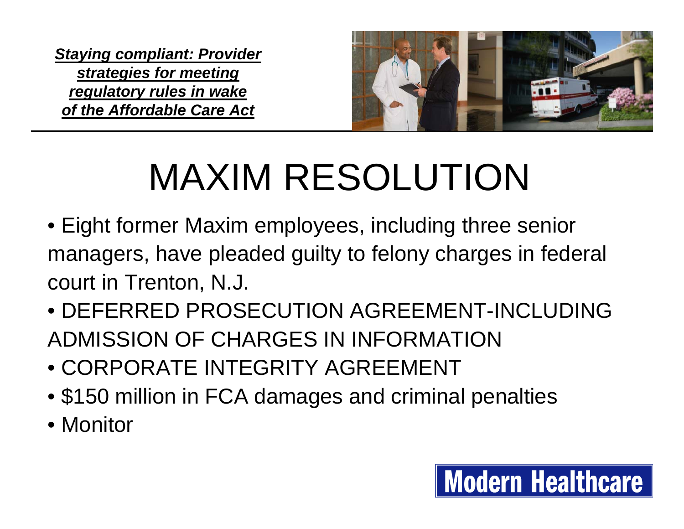

**Modern Healthcare** 

### MAXIM RESOLUTION

- Eight former Maxim employees, including three senior managers, have pleaded guilty to felony charges in federal court in Trenton, N.J.
- DEFERRED PROSECUTION AGREEMENT-INCLUDING ADMISSION OF CHARGES IN INFORMATION
- CORPORATE INTEGRITY AGREEMENT
- \$150 million in FCA damages and criminal penalties
- Monitor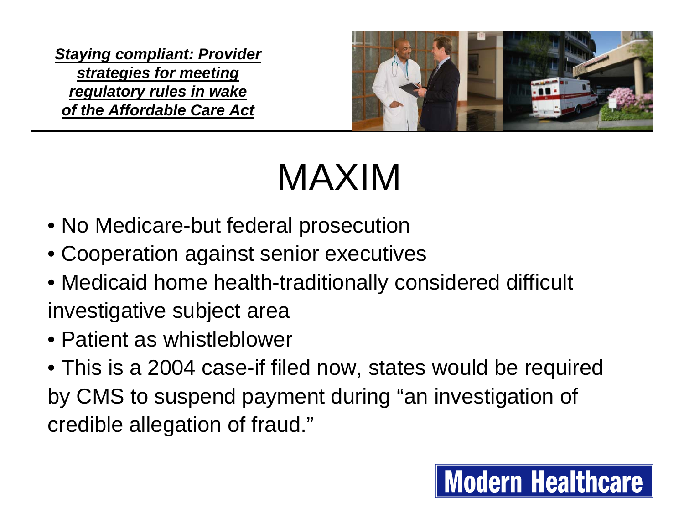

### MAXIM

- No Medicare-but federal prosecution
- Cooperation against senior executives
- Medicaid home health-traditionally considered difficult investigative subject area
- Patient as whistleblower
- This is a 2004 case-if filed now, states would be required by CMS to suspend payment during "an investigation of credible allegation of fraud."

#### **Modern Healthcare**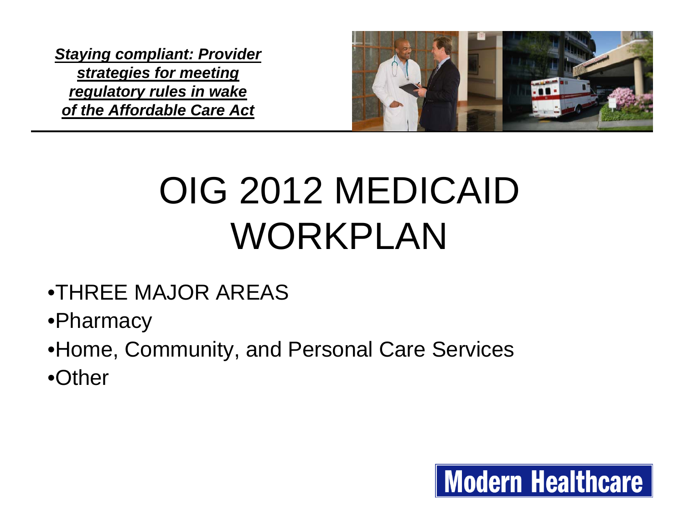

### OIG 2012 MEDICAID WORKPLAN

#### •THREE MAJOR AREAS

- •Pharmacy
- •Home, Community, and Personal Care Services
- •Other

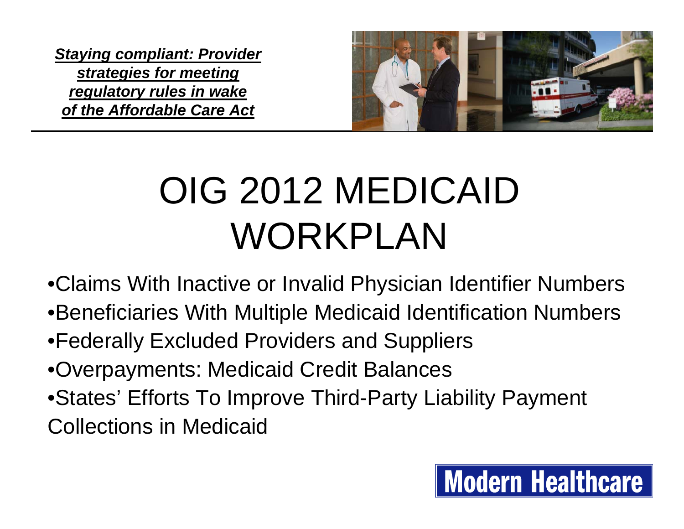

### OIG 2012 MEDICAID WORKPLAN

•Claims With Inactive or Invalid Physician Identifier Numbers

- •Beneficiaries With Multiple Medicaid Identification Numbers
- •Federally Excluded Providers and Suppliers
- •Overpayments: Medicaid Credit Balances
- •States' Efforts To Improve Third-Party Liability Payment Collections in Medicaid

#### **Modern Healthcare**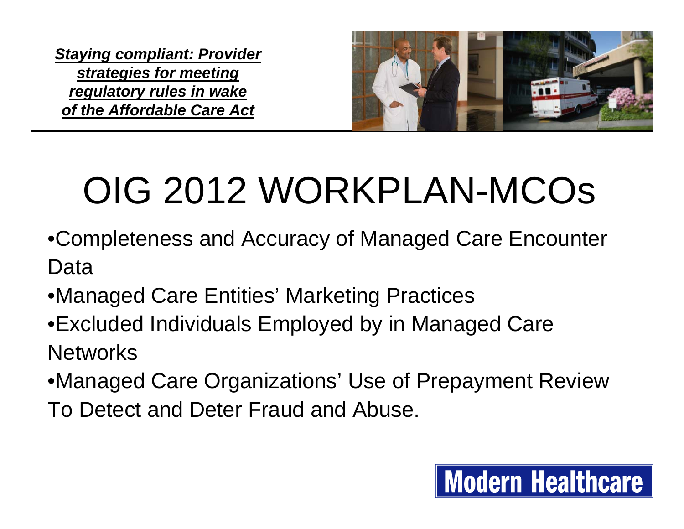

# OIG 2012 WORKPLAN-MCOs

- •Completeness and Accuracy of Managed Care Encounter Data
- •Managed Care Entities' Marketing Practices
- •Excluded Individuals Employed by in Managed Care **Networks**
- •Managed Care Organizations' Use of Prepayment Review To Detect and Deter Fraud and Abuse.

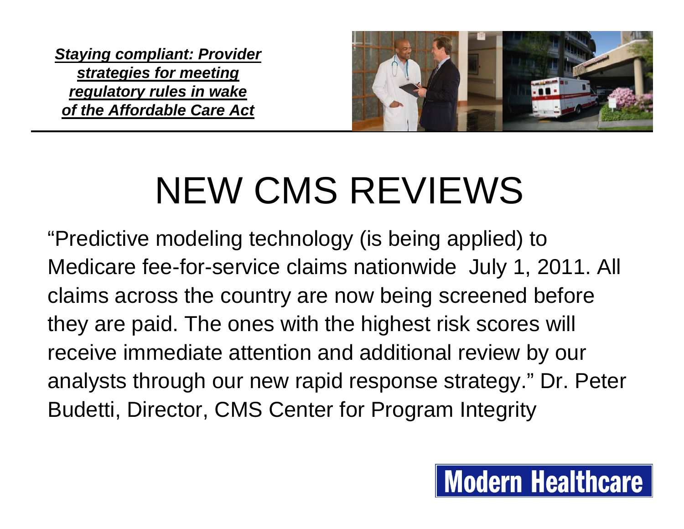

### NEW CMS REVIEWS

"Predictive modeling technology (is being applied) to Medicare fee-for-service claims nationwide July 1, 2011. All claims across the country are now being screened before they are paid. The ones with the highest risk scores will receive immediate attention and additional review by our analysts through our new rapid response strategy." Dr. Peter Budetti, Director, CMS Center for Program Integrity

#### **Modern Healthcare**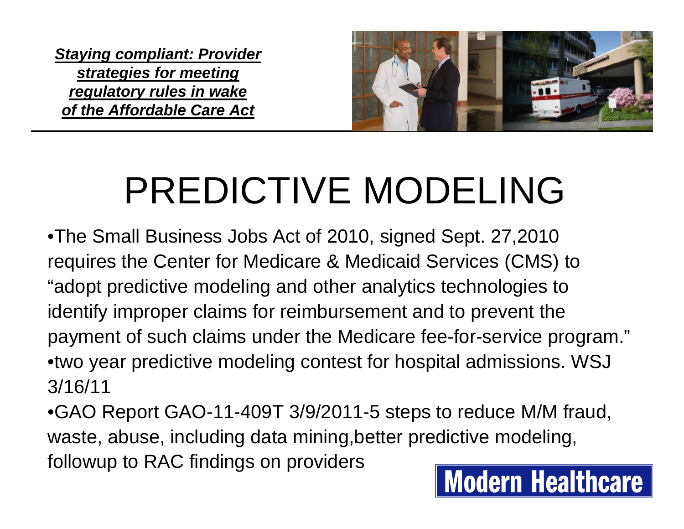

### PREDICTIVE MODELING

•The Small Business Jobs Act of 2010, signed Sept. 27,2010 requires the Center for Medicare & Medicaid Services (CMS) to "adopt predictive modeling and other analytics technologies to identify improper claims for reimbursement and to prevent the payment of such claims under the Medicare fee-for-service program." •two year predictive modeling contest for hospital admissions. WSJ 3/16/11

•GAO Report GAO-11-409T 3/9/2011-5 steps to reduce M/M fraud, waste, abuse, including data mining,better predictive modeling, followup to RAC findings on providers **Modern Healthcare**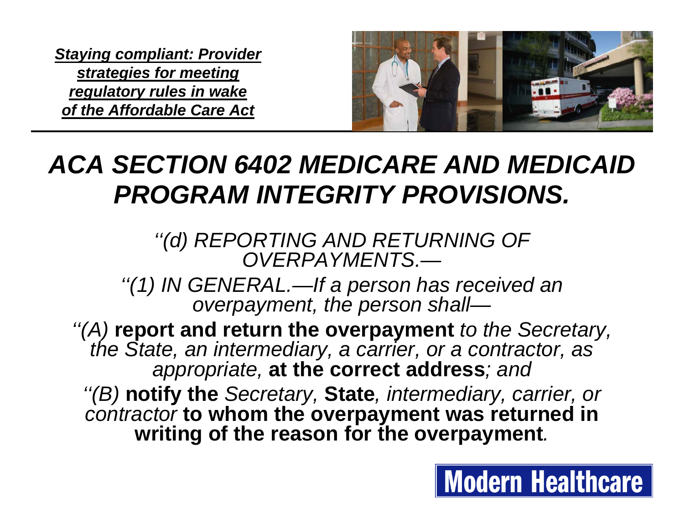

#### *ACA SECTION 6402 MEDICARE AND MEDICAID PROGRAM INTEGRITY PROVISIONS.*

*''(d) REPORTING AND RETURNING OF OVERPAYMENTS.—*

*''(1) IN GENERAL.—If a person has received an overpayment, the person shall—*

*''(A)* **report and return the overpayment** *to the Secretary, the State, an intermediary, a carrier, or a contractor, as appropriate,* **at the correct address***; and*

*''(B)* **notify the** *Secretary,* **State***, intermediary, carrier, or contractor* **to whom the overpayment was returned in writing of the reason for the overpayment***.*

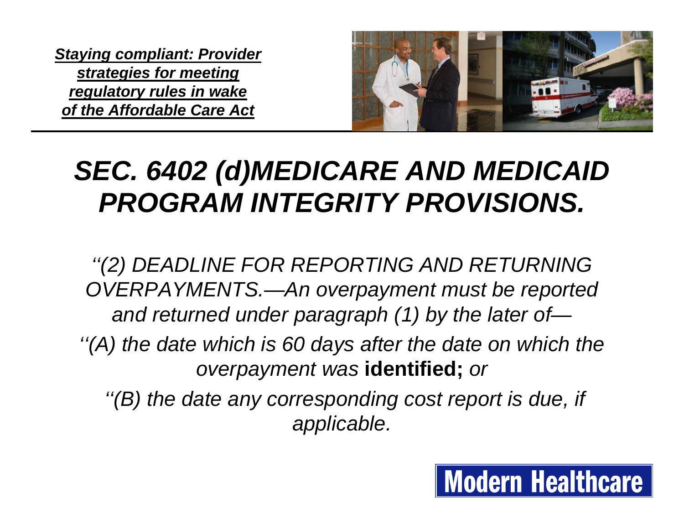

#### *SEC. 6402 (d)MEDICARE AND MEDICAID PROGRAM INTEGRITY PROVISIONS.*

*''(2) DEADLINE FOR REPORTING AND RETURNING OVERPAYMENTS.—An overpayment must be reported and returned under paragraph (1) by the later of—*

*''(A) the date which is 60 days after the date on which the overpayment was* **identified;** *or*

*''(B) the date any corresponding cost report is due, if applicable.*

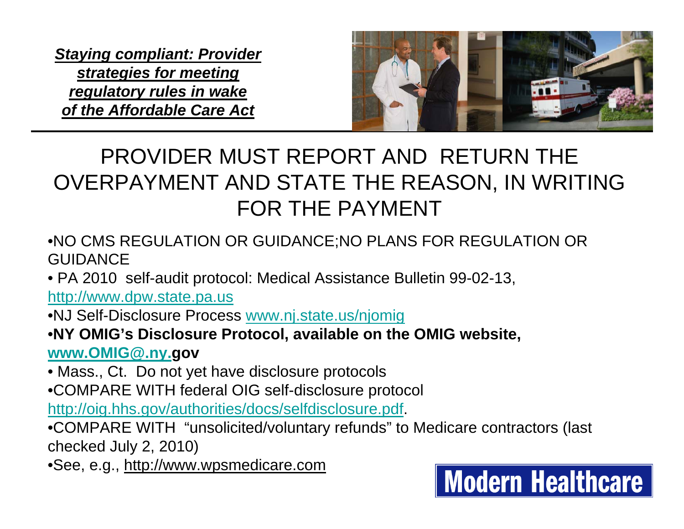

#### PROVIDER MUST REPORT AND RETURN THE OVERPAYMENT AND STATE THE REASON, IN WRITING FOR THE PAYMENT

- •NO CMS REGULATION OR GUIDANCE;NO PLANS FOR REGULATION OR **GUIDANCE**
- PA 2010 self-audit protocol: Medical Assistance Bulletin 99-02-13,

[http://www.dpw.state.pa.us](http://www.dpw.state.pa.us/)

•NJ Self-Disclosure Process [www.nj.state.us/njomig](http://www.nj.state.us/njomig)

•**NY OMIG's Disclosure Protocol, available on the OMIG website, [www.OMIG@.ny.](http://www.OMIG@.ny.us/)gov**

• Mass., Ct. Do not yet have disclosure protocols

•COMPARE WITH federal OIG self-disclosure protocol

<http://oig.hhs.gov/authorities/docs/selfdisclosure.pdf>.

•COMPARE WITH "unsolicited/voluntary refunds" to Medicare contractors (last checked July 2, 2010)

•See, e.g., http://www.wpsmedicare.com

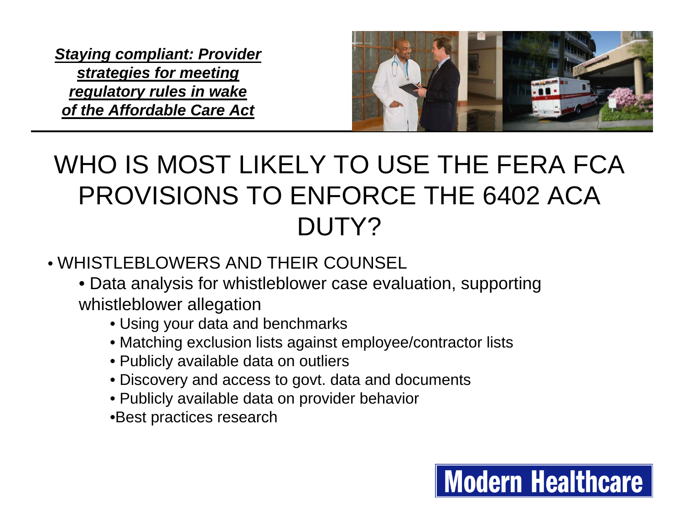

#### WHO IS MOST LIKELY TO USE THE FERA FCA PROVISIONS TO ENFORCE THE 6402 ACA DUTY?

- WHISTLEBLOWERS AND THEIR COUNSEL
	- Data analysis for whistleblower case evaluation, supporting whistleblower allegation
		- Using your data and benchmarks
		- Matching exclusion lists against employee/contractor lists
		- Publicly available data on outliers
		- Discovery and access to govt. data and documents
		- Publicly available data on provider behavior
		- •Best practices research

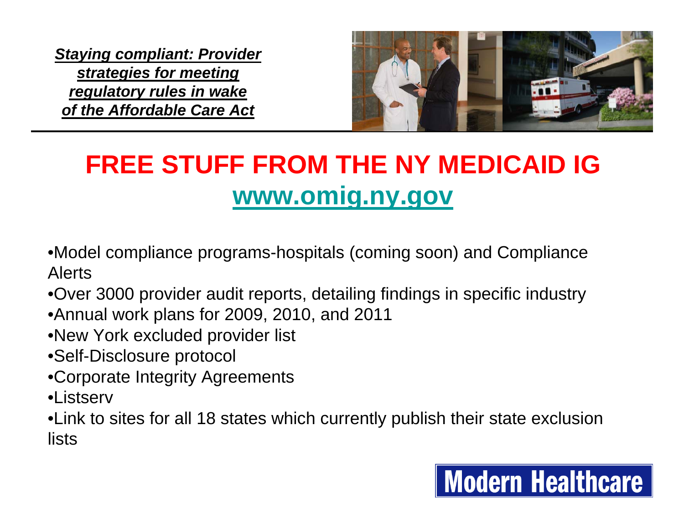

#### **FREE STUFF FROM THE NY MEDICAID IG [www.omig.ny.gov](http://www.omig.ny.gov/)**

- •Model compliance programs-hospitals (coming soon) and Compliance Alerts
- •Over 3000 provider audit reports, detailing findings in specific industry
- •Annual work plans for 2009, 2010, and 2011
- •New York excluded provider list
- •Self-Disclosure protocol
- •Corporate Integrity Agreements
- •Listserv

•Link to sites for all 18 states which currently publish their state exclusion lists

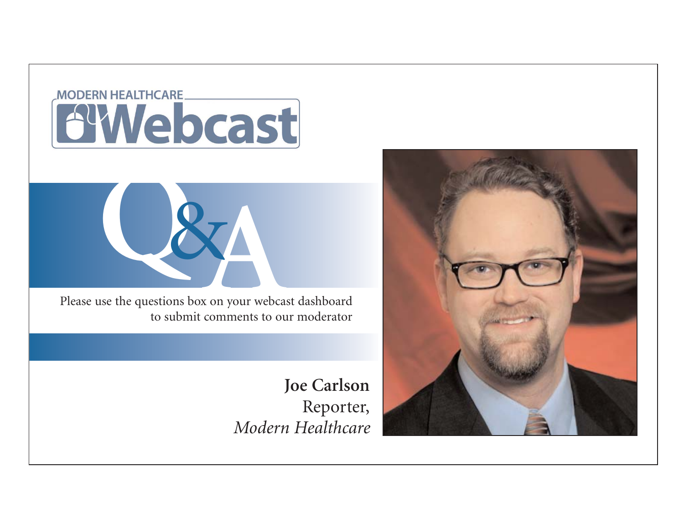#### **MODERN HEALTHCARE AWebcast**



Please use the questions box on your webcast dashboard to submit comments to our moderator

> **Joe Carlson** Reporter, *Modern Healthcare*